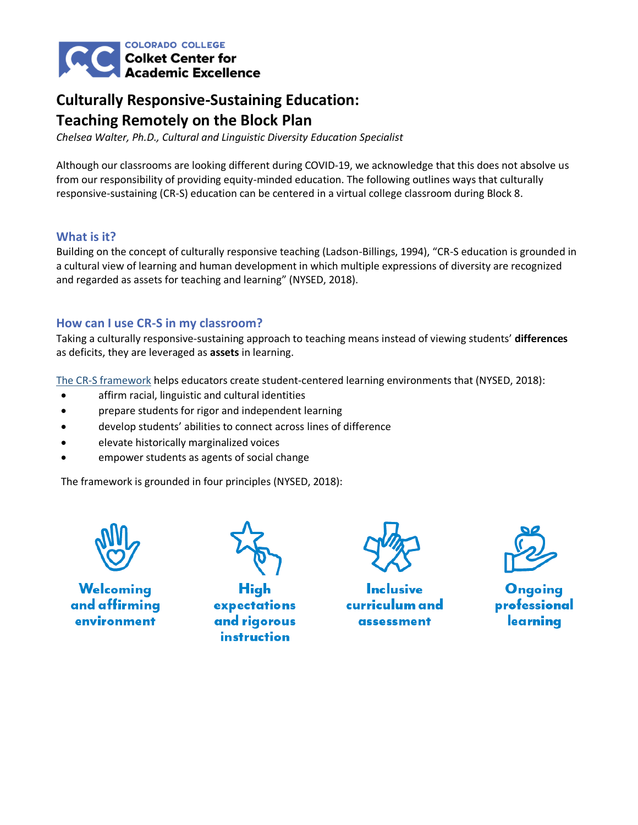

# **Culturally Responsive-Sustaining Education: Teaching Remotely on the Block Plan**

*Chelsea Walter, Ph.D., Cultural and Linguistic Diversity Education Specialist*

Although our classrooms are looking different during COVID-19, we acknowledge that this does not absolve us from our responsibility of providing equity-minded education. The following outlines ways that culturally responsive-sustaining (CR-S) education can be centered in a virtual college classroom during Block 8.

### **What is it?**

Building on the concept of culturally responsive teaching (Ladson-Billings, 1994), "CR-S education is grounded in a cultural view of learning and human development in which multiple expressions of diversity are recognized and regarded as assets for teaching and learning" (NYSED, 2018).

### **How can I use CR-S in my classroom?**

Taking a culturally responsive-sustaining approach to teaching means instead of viewing students' **differences** as deficits, they are leveraged as **assets** in learning.

[The CR-S framework](http://www.nysed.gov/common/nysed/files/programs/crs/culturally-responsive-sustaining-education-framework.pdf) helps educators create student-centered learning environments that (NYSED, 2018):

- affirm racial, linguistic and cultural identities
- prepare students for rigor and independent learning
- develop students' abilities to connect across lines of difference
- elevate historically marginalized voices
- empower students as agents of social change

The framework is grounded in four principles (NYSED, 2018):



Welcoming and affirming environment

**High** expectations and rigorous instruction

curriculum and assessment



Ongoing professional learning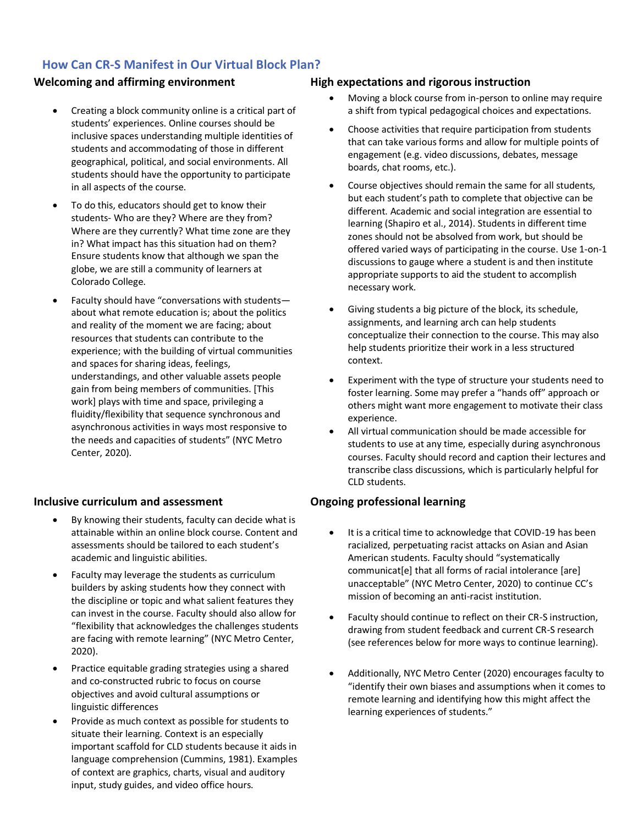## **How Can CR-S Manifest in Our Virtual Block Plan?**

- Creating a block community online is a critical part of students' experiences. Online courses should be inclusive spaces understanding multiple identities of students and accommodating of those in different geographical, political, and social environments. All students should have the opportunity to participate in all aspects of the course.
- To do this, educators should get to know their students- Who are they? Where are they from? Where are they currently? What time zone are they in? What impact has this situation had on them? Ensure students know that although we span the globe, we are still a community of learners at Colorado College.
- Faculty should have "conversations with students about what remote education is; about the politics and reality of the moment we are facing; about resources that students can contribute to the experience; with the building of virtual communities and spaces for sharing ideas, feelings, understandings, and other valuable assets people gain from being members of communities. [This work] plays with time and space, privileging a fluidity/flexibility that sequence synchronous and asynchronous activities in ways most responsive to the needs and capacities of students" (NYC Metro Center, 2020).

### **Inclusive curriculum and assessment Ongoing professional learning**

- By knowing their students, faculty can decide what is attainable within an online block course. Content and assessments should be tailored to each student's academic and linguistic abilities.
- Faculty may leverage the students as curriculum builders by asking students how they connect with the discipline or topic and what salient features they can invest in the course. Faculty should also allow for "flexibility that acknowledges the challenges students are facing with remote learning" (NYC Metro Center, 2020).
- Practice equitable grading strategies using a shared and co-constructed rubric to focus on course objectives and avoid cultural assumptions or linguistic differences
- Provide as much context as possible for students to situate their learning. Context is an especially important scaffold for CLD students because it aids in language comprehension (Cummins, 1981). Examples of context are graphics, charts, visual and auditory input, study guides, and video office hours.

### **Welcoming and affirming environment High expectations and rigorous instruction**

- Moving a block course from in-person to online may require a shift from typical pedagogical choices and expectations.
- Choose activities that require participation from students that can take various forms and allow for multiple points of engagement (e.g. video discussions, debates, message boards, chat rooms, etc.).
- Course objectives should remain the same for all students, but each student's path to complete that objective can be different. Academic and social integration are essential to learning (Shapiro et al., 2014). Students in different time zones should not be absolved from work, but should be offered varied ways of participating in the course. Use 1-on-1 discussions to gauge where a student is and then institute appropriate supports to aid the student to accomplish necessary work.
- Giving students a big picture of the block, its schedule, assignments, and learning arch can help students conceptualize their connection to the course. This may also help students prioritize their work in a less structured context.
- Experiment with the type of structure your students need to foster learning. Some may prefer a "hands off" approach or others might want more engagement to motivate their class experience.
- All virtual communication should be made accessible for students to use at any time, especially during asynchronous courses. Faculty should record and caption their lectures and transcribe class discussions, which is particularly helpful for CLD students.

- It is a critical time to acknowledge that COVID-19 has been racialized, perpetuating racist attacks on Asian and Asian American students. Faculty should "systematically communicat[e] that all forms of racial intolerance [are] unacceptable" (NYC Metro Center, 2020) to continue CC's mission of becoming an anti-racist institution.
- Faculty should continue to reflect on their CR-S instruction, drawing from student feedback and current CR-S research (see references below for more ways to continue learning).
- Additionally, NYC Metro Center (2020) encourages faculty to "identify their own biases and assumptions when it comes to remote learning and identifying how this might affect the learning experiences of students."